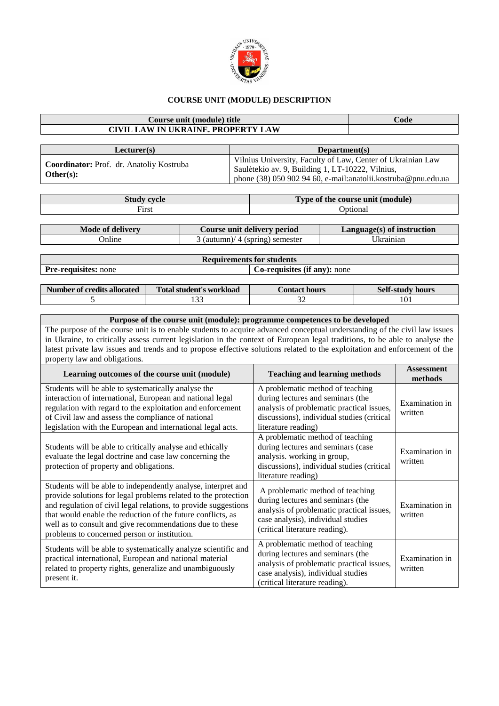

## **COURSE UNIT (MODULE) DESCRIPTION**

## **Course unit (module) title Code CIVIL LAW IN UKRAINE. PROPERTY LAW**

| Lecturer(s)                                                      | Department(s)                                                                                                                                                                      |
|------------------------------------------------------------------|------------------------------------------------------------------------------------------------------------------------------------------------------------------------------------|
| <b>Coordinator:</b> Prof. dr. Anatoliy Kostruba<br>Other $(s)$ : | Vilnius University, Faculty of Law, Center of Ukrainian Law<br>Saulėtekio av. 9, Building 1, LT-10222, Vilnius,<br>phone $(38)$ 050 902 94 60, e-mail:anatolii.kostruba@pnu.edu.ua |

| Study<br>cvcle             | Type of the course unit (module) |  |  |  |
|----------------------------|----------------------------------|--|--|--|
| $\mathbf{F}_{\text{irst}}$ | <b>D</b> otional                 |  |  |  |

| Mode of delivery | Course unit delivery period     | $Language(s)$ of instruction |
|------------------|---------------------------------|------------------------------|
| Jnline           | 3 (autumn)/ 4 (spring) semester | Jkrainiar                    |
|                  |                                 |                              |

**Requirements for students**

| <b>Pre-requisites:</b> none | Co-requisites (if any): none |
|-----------------------------|------------------------------|
|-----------------------------|------------------------------|

| <br>Number of credits allocated | Total student's workload | <i>E</i> ontact hours | Self-study<br>hours |
|---------------------------------|--------------------------|-----------------------|---------------------|
|                                 | $\sim$<br>.              | ◡                     | 101                 |

## **Purpose of the course unit (module): programme competences to be developed**

The purpose of the course unit is to enable students to acquire advanced conceptual understanding of the civil law issues in Ukraine, to critically assess current legislation in the context of European legal traditions, to be able to analyse the latest private law issues and trends and to propose effective solutions related to the exploitation and enforcement of the property law and obligations.

| Learning outcomes of the course unit (module)                                                                                                                                                                                                                                                                                                                                 | <b>Teaching and learning methods</b>                                                                                                                                                       | <b>Assessment</b><br>methods |
|-------------------------------------------------------------------------------------------------------------------------------------------------------------------------------------------------------------------------------------------------------------------------------------------------------------------------------------------------------------------------------|--------------------------------------------------------------------------------------------------------------------------------------------------------------------------------------------|------------------------------|
| Students will be able to systematically analyse the<br>interaction of international, European and national legal<br>regulation with regard to the exploitation and enforcement<br>of Civil law and assess the compliance of national<br>legislation with the European and international legal acts.                                                                           | A problematic method of teaching<br>during lectures and seminars (the<br>analysis of problematic practical issues,<br>discussions), individual studies (critical<br>literature reading)    | Examination in<br>written    |
| Students will be able to critically analyse and ethically<br>evaluate the legal doctrine and case law concerning the<br>protection of property and obligations.                                                                                                                                                                                                               | A problematic method of teaching<br>during lectures and seminars (case<br>analysis. working in group,<br>discussions), individual studies (critical<br>literature reading)                 | Examination in<br>written    |
| Students will be able to independently analyse, interpret and<br>provide solutions for legal problems related to the protection<br>and regulation of civil legal relations, to provide suggestions<br>that would enable the reduction of the future conflicts, as<br>well as to consult and give recommendations due to these<br>problems to concerned person or institution. | A problematic method of teaching<br>during lectures and seminars (the<br>analysis of problematic practical issues,<br>case analysis), individual studies<br>(critical literature reading). | Examination in<br>written    |
| Students will be able to systematically analyze scientific and<br>practical international, European and national material<br>related to property rights, generalize and unambiguously<br>present it.                                                                                                                                                                          | A problematic method of teaching<br>during lectures and seminars (the<br>analysis of problematic practical issues,<br>case analysis), individual studies<br>(critical literature reading). | Examination in<br>written    |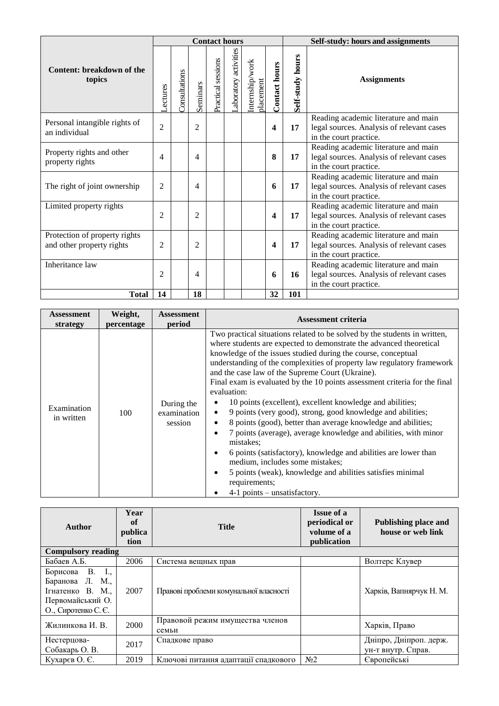|                                                            |                |               |                | <b>Contact hours</b> |                      |                              |               | Self-study: hours and assignments |                                                                                                             |  |
|------------------------------------------------------------|----------------|---------------|----------------|----------------------|----------------------|------------------------------|---------------|-----------------------------------|-------------------------------------------------------------------------------------------------------------|--|
| Content: breakdown of the<br>topics                        | -ectures       | Consultations | Seminars       | Practical sessions   | aboratory activities | Internship/work<br>olacement | Contact hours | Self-study hours                  | <b>Assignments</b>                                                                                          |  |
| Personal intangible rights of<br>an individual             | $\overline{2}$ |               | $\overline{2}$ |                      |                      |                              | 4             | 17                                | Reading academic literature and main<br>legal sources. Analysis of relevant cases<br>in the court practice. |  |
| Property rights and other<br>property rights               | 4              |               | 4              |                      |                      |                              | 8             | 17                                | Reading academic literature and main<br>legal sources. Analysis of relevant cases<br>in the court practice. |  |
| The right of joint ownership                               | 2              |               | 4              |                      |                      |                              | 6             | 17                                | Reading academic literature and main<br>legal sources. Analysis of relevant cases<br>in the court practice. |  |
| Limited property rights                                    | 2              |               | $\overline{2}$ |                      |                      |                              | 4             | 17                                | Reading academic literature and main<br>legal sources. Analysis of relevant cases<br>in the court practice. |  |
| Protection of property rights<br>and other property rights | 2              |               | 2              |                      |                      |                              | 4             | 17                                | Reading academic literature and main<br>legal sources. Analysis of relevant cases<br>in the court practice. |  |
| Inheritance law                                            | $\overline{2}$ |               | 4              |                      |                      |                              | 6             | 16                                | Reading academic literature and main<br>legal sources. Analysis of relevant cases<br>in the court practice. |  |
| <b>Total</b>                                               | 14             |               | 18             |                      |                      |                              | 32            | 101                               |                                                                                                             |  |

| Assessment                | Weight,    | Assessment                           | <b>Assessment criteria</b>                                                                                                                                                                                                                                                                                                                                                                                                                                                                                                                                                                                                                                                                                                                                                                                                                                                                                                                                                                                |  |
|---------------------------|------------|--------------------------------------|-----------------------------------------------------------------------------------------------------------------------------------------------------------------------------------------------------------------------------------------------------------------------------------------------------------------------------------------------------------------------------------------------------------------------------------------------------------------------------------------------------------------------------------------------------------------------------------------------------------------------------------------------------------------------------------------------------------------------------------------------------------------------------------------------------------------------------------------------------------------------------------------------------------------------------------------------------------------------------------------------------------|--|
| strategy                  | percentage | period                               |                                                                                                                                                                                                                                                                                                                                                                                                                                                                                                                                                                                                                                                                                                                                                                                                                                                                                                                                                                                                           |  |
| Examination<br>in written | 100        | During the<br>examination<br>session | Two practical situations related to be solved by the students in written,<br>where students are expected to demonstrate the advanced theoretical<br>knowledge of the issues studied during the course, conceptual<br>understanding of the complexities of property law regulatory framework<br>and the case law of the Supreme Court (Ukraine).<br>Final exam is evaluated by the 10 points assessment criteria for the final<br>evaluation:<br>10 points (excellent), excellent knowledge and abilities;<br>9 points (very good), strong, good knowledge and abilities;<br>$\bullet$<br>8 points (good), better than average knowledge and abilities;<br>$\bullet$<br>7 points (average), average knowledge and abilities, with minor<br>$\bullet$<br>mistakes:<br>6 points (satisfactory), knowledge and abilities are lower than<br>٠<br>medium, includes some mistakes;<br>5 points (weak), knowledge and abilities satisfies minimal<br>$\bullet$<br>requirements;<br>$4-1$ points – unsatisfactory. |  |

| Author                                                                                            | Year<br>of<br>publica<br>tion | <b>Title</b>                             | <b>Issue of a</b><br>periodical or<br>volume of a<br>publication | Publishing place and<br>house or web link    |
|---------------------------------------------------------------------------------------------------|-------------------------------|------------------------------------------|------------------------------------------------------------------|----------------------------------------------|
| <b>Compulsory reading</b>                                                                         |                               |                                          |                                                                  |                                              |
| Бабаев А.Б.                                                                                       | 2006                          | Система вещных прав                      |                                                                  | Волтерс Клувер                               |
| Борисова В. I.,<br>Баранова Л. М.,<br>Ігнатенко В. М.,<br>Первомайський О.<br>О., Сиротенко С. Є. | 2007                          | Правові проблеми комунальної власності   |                                                                  | Харків, Вапнярчук Н. М.                      |
| Жилинкова И. В.                                                                                   | 2000                          | Правовой режим имущества членов<br>семьи |                                                                  | Харків, Право                                |
| Нестерцова-<br>Собакарь О. В.                                                                     | 2017                          | Спадкове право                           |                                                                  | Дніпро, Дніпроп. держ.<br>ун-т внутр. Справ. |
| Кухарєв О. Є.                                                                                     | 2019                          | Ключові питання адаптації спадкового     | N <sub>2</sub>                                                   | Європейські                                  |